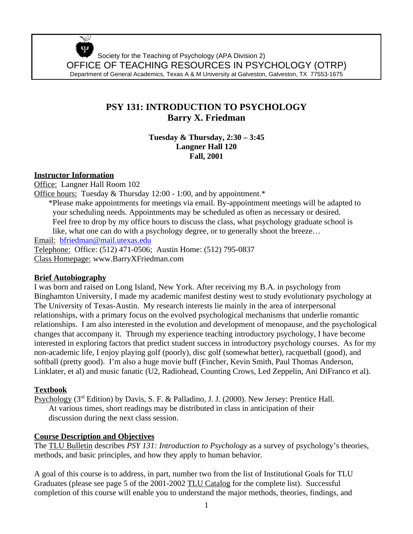Society for the Teaching of Psychology (APA Division 2) OFFICE OF TEACHING RESOURCES IN PSYCHOLOGY (OTRP) Department of General Academics, Texas A & M University at Galveston, Galveston, TX 77553-1675

# **PSY 131: INTRODUCTION TO PSYCHOLOGY Barry X. Friedman**

**Tuesday & Thursday, 2:30 – 3:45 Langner Hall 120 Fall, 2001**

# **Instructor Information**

 $\mathcal{L}_{\rm{max}}$ 

Office: Langner Hall Room 102 Office hours: Tuesday & Thursday 12:00 - 1:00, and by appointment.\* \*Please make appointments for meetings via email. By-appointment meetings will be adapted to your scheduling needs. Appointments may be scheduled as often as necessary or desired. Feel free to drop by my office hours to discuss the class, what psychology graduate school is like, what one can do with a psychology degree, or to generally shoot the breeze… Email: bfriedman@mail.utexas.edu Telephone: Office: (512) 471-0506; Austin Home: (512) 795-0837 Class Homepage: www.BarryXFriedman.com

# **Brief Autobiography**

I was born and raised on Long Island, New York. After receiving my B.A. in psychology from Binghamton University, I made my academic manifest destiny west to study evolutionary psychology at The University of Texas-Austin. My research interests lie mainly in the area of interpersonal relationships, with a primary focus on the evolved psychological mechanisms that underlie romantic relationships. I am also interested in the evolution and development of menopause, and the psychological changes that accompany it. Through my experience teaching introductory psychology, I have become interested in exploring factors that predict student success in introductory psychology courses. As for my non-academic life, I enjoy playing golf (poorly), disc golf (somewhat better), racquetball (good), and softball (pretty good). I'm also a huge movie buff (Fincher, Kevin Smith, Paul Thomas Anderson, Linklater, et al) and music fanatic (U2, Radiohead, Counting Crows, Led Zeppelin, Ani DiFranco et al).

# **Textbook**

Psychology (3<sup>rd</sup> Edition) by Davis, S. F. & Palladino, J. J. (2000). New Jersey: Prentice Hall. At various times, short readings may be distributed in class in anticipation of their discussion during the next class session.

# **Course Description and Objectives**

The TLU Bulletin describes *PSY 131: Introduction to Psychology* as a survey of psychology's theories, methods, and basic principles, and how they apply to human behavior.

A goal of this course is to address, in part, number two from the list of Institutional Goals for TLU Graduates (please see page 5 of the 2001-2002 TLU Catalog for the complete list). Successful completion of this course will enable you to understand the major methods, theories, findings, and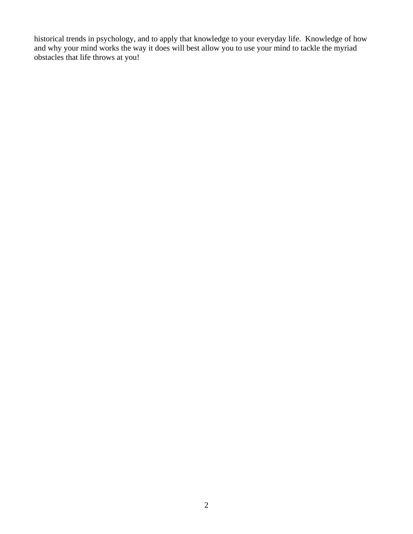historical trends in psychology, and to apply that knowledge to your everyday life. Knowledge of how and why your mind works the way it does will best allow you to use your mind to tackle the myriad obstacles that life throws at you!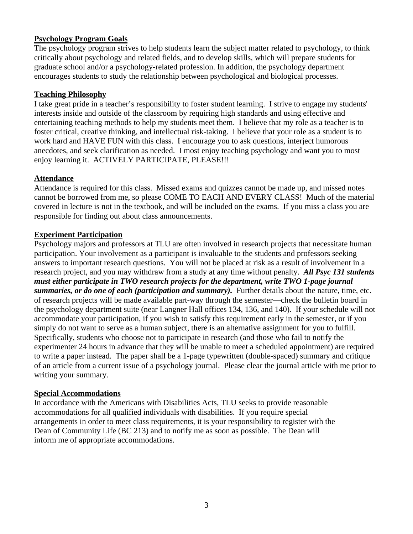# **Psychology Program Goals**

The psychology program strives to help students learn the subject matter related to psychology, to think critically about psychology and related fields, and to develop skills, which will prepare students for graduate school and/or a psychology-related profession. In addition, the psychology department encourages students to study the relationship between psychological and biological processes.

### **Teaching Philosophy**

I take great pride in a teacher's responsibility to foster student learning. I strive to engage my students' interests inside and outside of the classroom by requiring high standards and using effective and entertaining teaching methods to help my students meet them. I believe that my role as a teacher is to foster critical, creative thinking, and intellectual risk-taking. I believe that your role as a student is to work hard and HAVE FUN with this class. I encourage you to ask questions, interject humorous anecdotes, and seek clarification as needed. I most enjoy teaching psychology and want you to most enjoy learning it. ACTIVELY PARTICIPATE, PLEASE!!!

# **Attendance**

Attendance is required for this class. Missed exams and quizzes cannot be made up, and missed notes cannot be borrowed from me, so please COME TO EACH AND EVERY CLASS! Much of the material covered in lecture is not in the textbook, and will be included on the exams. If you miss a class you are responsible for finding out about class announcements.

# **Experiment Participation**

Psychology majors and professors at TLU are often involved in research projects that necessitate human participation. Your involvement as a participant is invaluable to the students and professors seeking answers to important research questions. You will not be placed at risk as a result of involvement in a research project, and you may withdraw from a study at any time without penalty. *All Psyc 131 students must either participate in TWO research projects for the department, write TWO 1-page journal summaries, or do one of each (participation and summary).* Further details about the nature, time, etc. of research projects will be made available part-way through the semester—check the bulletin board in the psychology department suite (near Langner Hall offices 134, 136, and 140). If your schedule will not accommodate your participation, if you wish to satisfy this requirement early in the semester, or if you simply do not want to serve as a human subject, there is an alternative assignment for you to fulfill. Specifically, students who choose not to participate in research (and those who fail to notify the experimenter 24 hours in advance that they will be unable to meet a scheduled appointment) are required to write a paper instead. The paper shall be a 1-page typewritten (double-spaced) summary and critique of an article from a current issue of a psychology journal. Please clear the journal article with me prior to writing your summary.

#### **Special Accommodations**

In accordance with the Americans with Disabilities Acts, TLU seeks to provide reasonable accommodations for all qualified individuals with disabilities. If you require special arrangements in order to meet class requirements, it is your responsibility to register with the Dean of Community Life (BC 213) and to notify me as soon as possible. The Dean will inform me of appropriate accommodations.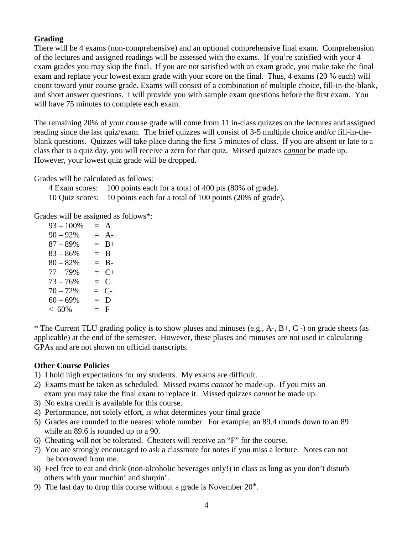# **Grading**

There will be 4 exams (non-comprehensive) and an optional comprehensive final exam. Comprehension of the lectures and assigned readings will be assessed with the exams. If you're satisfied with your 4 exam grades you may skip the final. If you are not satisfied with an exam grade, you make take the final exam and replace your lowest exam grade with your score on the final. Thus, 4 exams (20 % each) will count toward your course grade. Exams will consist of a combination of multiple choice, fill-in-the-blank, and short answer questions. I will provide you with sample exam questions before the first exam. You will have 75 minutes to complete each exam.

The remaining 20% of your course grade will come from 11 in-class quizzes on the lectures and assigned reading since the last quiz/exam. The brief quizzes will consist of 3-5 multiple choice and/or fill-in-theblank questions. Quizzes will take place during the first 5 minutes of class. If you are absent or late to a class that is a quiz day, you will receive a zero for that quiz. Missed quizzes *cannot* be made up. However, your lowest quiz grade will be dropped.

Grades will be calculated as follows:

| 4 Exam scores: | 100 points each for a total of 400 pts (80% of grade).                   |
|----------------|--------------------------------------------------------------------------|
|                | 10 Quiz scores: 10 points each for a total of 100 points (20% of grade). |

Grades will be assigned as follows\*:

| $93 - 100\%$ | $=$ A   |
|--------------|---------|
| $90 - 92%$   | $= A$ - |
| $87 - 89%$   | $=$ B+  |
| $83 - 86\%$  | $=$ B   |
| $80 - 82%$   | $=$ B-  |
| $77 - 79%$   | $= C+$  |
| $73 - 76%$   | $= C$   |
| $70 - 72%$   | $= C$ - |
| $60 - 69%$   | $= D$   |
| $< 60\%$     | $=$ F   |

\* The Current TLU grading policy is to show pluses and minuses (e.g., A-, B+, C -) on grade sheets (as applicable) at the end of the semester. However, these pluses and minuses are not used in calculating GPAs and are not shown on official transcripts.

# **Other Course Policies**

- 1) I hold high expectations for my students. My exams are difficult.
- 2) Exams must be taken as scheduled. Missed exams *cannot* be made-up. If you miss an exam you may take the final exam to replace it. Missed quizzes *cannot* be made up.
- 3) No extra credit is available for this course.
- 4) Performance, not solely effort, is what determines your final grade
- 5) Grades are rounded to the nearest whole number. For example, an 89.4 rounds down to an 89 while an 89.6 is rounded up to a 90.
- 6) Cheating will not be tolerated. Cheaters will receive an "F" for the course.
- 7) You are strongly encouraged to ask a classmate for notes if you miss a lecture. Notes can not be borrowed from me.
- 8) Feel free to eat and drink (non-alcoholic beverages only!) in class as long as you don't disturb others with your muchin' and slurpin'.
- 9) The last day to drop this course without a grade is November  $20<sup>th</sup>$ .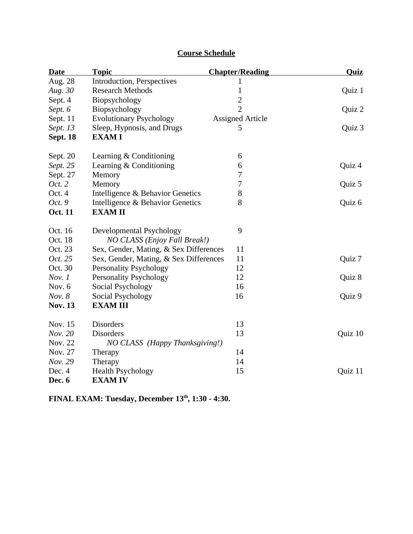| <b>Date</b>     | <b>Topic</b>                           | <b>Chapter/Reading</b>  | <b>Quiz</b> |
|-----------------|----------------------------------------|-------------------------|-------------|
| Aug. 28         | Introduction, Perspectives             | 1                       |             |
| Aug. 30         | <b>Research Methods</b>                | 1                       | Quiz 1      |
| Sept. 4         | Biopsychology                          | $\overline{2}$          |             |
| Sept. 6         | Biopsychology                          | $\overline{2}$          | Quiz 2      |
| Sept. 11        | <b>Evolutionary Psychology</b>         | <b>Assigned Article</b> |             |
| Sept. 13        | Sleep, Hypnosis, and Drugs             | 5                       | Quiz 3      |
| <b>Sept. 18</b> | <b>EXAMI</b>                           |                         |             |
| Sept. 20        | Learning & Conditioning                | 6                       |             |
| Sept. 25        | Learning & Conditioning                | 6                       | Quiz 4      |
| Sept. 27        | Memory                                 | 7                       |             |
| Oct. 2          | Memory                                 | 7                       | Quiz 5      |
| Oct. 4          | Intelligence & Behavior Genetics       | 8                       |             |
| Oct. 9          | Intelligence & Behavior Genetics       | 8                       | Quiz 6      |
| <b>Oct. 11</b>  | <b>EXAMII</b>                          |                         |             |
| Oct. 16         | Developmental Psychology               | 9                       |             |
| Oct. 18         | NO CLASS (Enjoy Fall Break!)           |                         |             |
| Oct. 23         | Sex, Gender, Mating, & Sex Differences | 11                      |             |
| Oct. 25         | Sex, Gender, Mating, & Sex Differences | 11                      | Quiz 7      |
| Oct. 30         | <b>Personality Psychology</b>          | 12                      |             |
| Nov. 1          | <b>Personality Psychology</b>          | 12                      | Quiz 8      |
| Nov. 6          | Social Psychology                      | 16                      |             |
| Nov. 8          | Social Psychology                      | 16                      | Quiz 9      |
| <b>Nov. 13</b>  | <b>EXAM III</b>                        |                         |             |
| Nov. 15         | <b>Disorders</b>                       | 13                      |             |
| Nov. 20         | <b>Disorders</b>                       | 13                      | Quiz 10     |
| Nov. 22         | NO CLASS (Happy Thanksgiving!)         |                         |             |
| Nov. 27         | Therapy                                | 14                      |             |
| Nov. 29         | Therapy                                | 14                      |             |
| Dec. 4          | <b>Health Psychology</b>               | 15                      | Quiz 11     |
| Dec. 6          | <b>EXAM IV</b>                         |                         |             |

# **Course Schedule**

**FINAL EXAM: Tuesday, December 13th, 1:30 - 4:30.**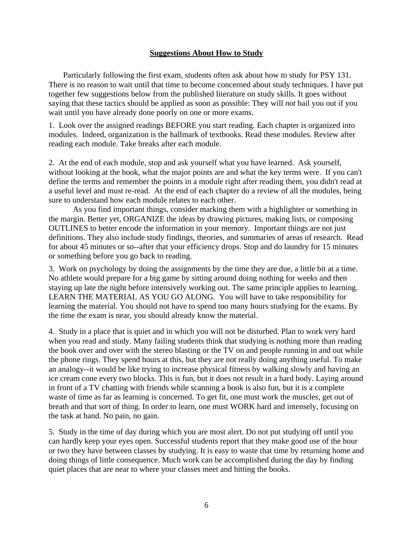#### **Suggestions About How to Study**

Particularly following the first exam, students often ask about how to study for PSY 131. There is no reason to wait until that time to become concerned about study techniques. I have put together few suggestions below from the published literature on study skills. It goes without saying that these tactics should be applied as soon as possible: They will *not* bail you out if you wait until you have already done poorly on one or more exams.

1. Look over the assigned readings BEFORE you start reading. Each chapter is organized into modules. Indeed, organization is the hallmark of textbooks. Read these modules. Review after reading each module. Take breaks after each module.

2. At the end of each module, stop and ask yourself what you have learned. Ask yourself, without looking at the book, what the major points are and what the key terms were. If you can't define the terms and remember the points in a module right after reading them, you didn't read at a useful level and must re-read. At the end of each chapter do a review of all the modules, being sure to understand how each module relates to each other.

As you find important things, consider marking them with a highlighter or something in the margin. Better yet, ORGANIZE the ideas by drawing pictures, making lists, or composing OUTLINES to better encode the information in your memory. Important things are not just definitions. They also include study findings, theories, and summaries of areas of research. Read for about 45 minutes or so--after that your efficiency drops. Stop and do laundry for 15 minutes or something before you go back to reading.

3. Work on psychology by doing the assignments by the time they are due, a little bit at a time. No athlete would prepare for a big game by sitting around doing nothing for weeks and then staying up late the night before intensively working out. The same principle applies to learning. LEARN THE MATERIAL AS YOU GO ALONG. You will have to take responsibility for learning the material. You should not have to spend too many hours studying for the exams. By the time the exam is near, you should already know the material.

4. Study in a place that is quiet and in which you will not be disturbed. Plan to work very hard when you read and study. Many failing students think that studying is nothing more than reading the book over and over with the stereo blasting or the TV on and people running in and out while the phone rings. They spend hours at this, but they are not really doing anything useful. To make an analogy--it would be like trying to increase physical fitness by walking slowly and having an ice cream cone every two blocks. This is fun, but it does not result in a hard body. Laying around in front of a TV chatting with friends while scanning a book is also fun, but it is a complete waste of time as far as learning is concerned. To get fit, one must work the muscles, get out of breath and that sort of thing. In order to learn, one must WORK hard and intensely, focusing on the task at hand. No pain, no gain.

5. Study in the time of day during which you are most alert. Do not put studying off until you can hardly keep your eyes open. Successful students report that they make good use of the hour or two they have between classes by studying. It is easy to waste that time by returning home and doing things of little consequence. Much work can be accomplished during the day by finding quiet places that are near to where your classes meet and hitting the books.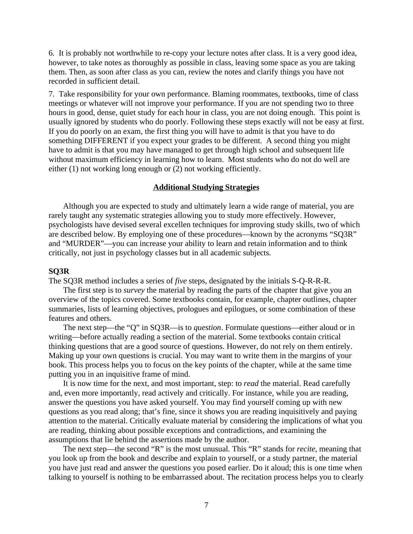6. It is probably not worthwhile to re-copy your lecture notes after class. It is a very good idea, however, to take notes as thoroughly as possible in class, leaving some space as you are taking them. Then, as soon after class as you can, review the notes and clarify things you have not recorded in sufficient detail.

7. Take responsibility for your own performance. Blaming roommates, textbooks, time of class meetings or whatever will not improve your performance. If you are not spending two to three hours in good, dense, quiet study for each hour in class, you are not doing enough. This point is usually ignored by students who do poorly. Following these steps exactly will not be easy at first. If you do poorly on an exam, the first thing you will have to admit is that you have to do something DIFFERENT if you expect your grades to be different. A second thing you might have to admit is that you may have managed to get through high school and subsequent life without maximum efficiency in learning how to learn. Most students who do not do well are either (1) not working long enough or (2) not working efficiently.

#### **Additional Studying Strategies**

Although you are expected to study and ultimately learn a wide range of material, you are rarely taught any systematic strategies allowing you to study more effectively. However, psychologists have devised several excellen techniques for improving study skills, two of which are described below. By employing one of these procedures—known by the acronyms "SQ3R" and "MURDER"—you can increase your ability to learn and retain information and to think critically, not just in psychology classes but in all academic subjects.

#### **SQ3R**

The SQ3R method includes a series of *five* steps, designated by the initials S-Q-R-R-R.

The first step is to *survey* the material by reading the parts of the chapter that give you an overview of the topics covered. Some textbooks contain, for example, chapter outlines, chapter summaries, lists of learning objectives, prologues and epilogues, or some combination of these features and others.

The next step—the "Q" in SQ3R—is to *question*. Formulate questions—either aloud or in writing—before actually reading a section of the material. Some textbooks contain critical thinking questions that are a good source of questions. However, do not rely on them entirely. Making up your own questions is crucial. You may want to write them in the margins of your book. This process helps you to focus on the key points of the chapter, while at the same time putting you in an inquisitive frame of mind.

It is now time for the next, and most important, step: to *read* the material. Read carefully and, even more importantly, read actively and critically. For instance, while you are reading, answer the questions you have asked yourself. You may find yourself coming up with new questions as you read along; that's fine, since it shows you are reading inquisitively and paying attention to the material. Critically evaluate material by considering the implications of what you are reading, thinking about possible exceptions and contradictions, and examining the assumptions that lie behind the assertions made by the author.

The next step—the second "R" is the most unusual. This "R" stands for *recite*, meaning that you look up from the book and describe and explain to yourself, or a study partner, the material you have just read and answer the questions you posed earlier. Do it aloud; this is one time when talking to yourself is nothing to be embarrassed about. The recitation process helps you to clearly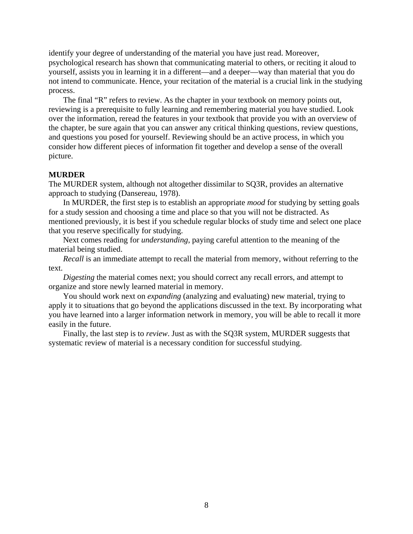identify your degree of understanding of the material you have just read. Moreover, psychological research has shown that communicating material to others, or reciting it aloud to yourself, assists you in learning it in a different—and a deeper—way than material that you do not intend to communicate. Hence, your recitation of the material is a crucial link in the studying process.

The final "R" refers to review. As the chapter in your textbook on memory points out, reviewing is a prerequisite to fully learning and remembering material you have studied. Look over the information, reread the features in your textbook that provide you with an overview of the chapter, be sure again that you can answer any critical thinking questions, review questions, and questions you posed for yourself. Reviewing should be an active process, in which you consider how different pieces of information fit together and develop a sense of the overall picture.

#### **MURDER**

The MURDER system, although not altogether dissimilar to SQ3R, provides an alternative approach to studying (Dansereau, 1978).

In MURDER, the first step is to establish an appropriate *mood* for studying by setting goals for a study session and choosing a time and place so that you will not be distracted. As mentioned previously, it is best if you schedule regular blocks of study time and select one place that you reserve specifically for studying.

Next comes reading for *understanding*, paying careful attention to the meaning of the material being studied.

*Recall* is an immediate attempt to recall the material from memory, without referring to the text.

*Digesting* the material comes next; you should correct any recall errors, and attempt to organize and store newly learned material in memory.

You should work next on *expanding* (analyzing and evaluating) new material, trying to apply it to situations that go beyond the applications discussed in the text. By incorporating what you have learned into a larger information network in memory, you will be able to recall it more easily in the future.

Finally, the last step is to *review*. Just as with the SQ3R system, MURDER suggests that systematic review of material is a necessary condition for successful studying.